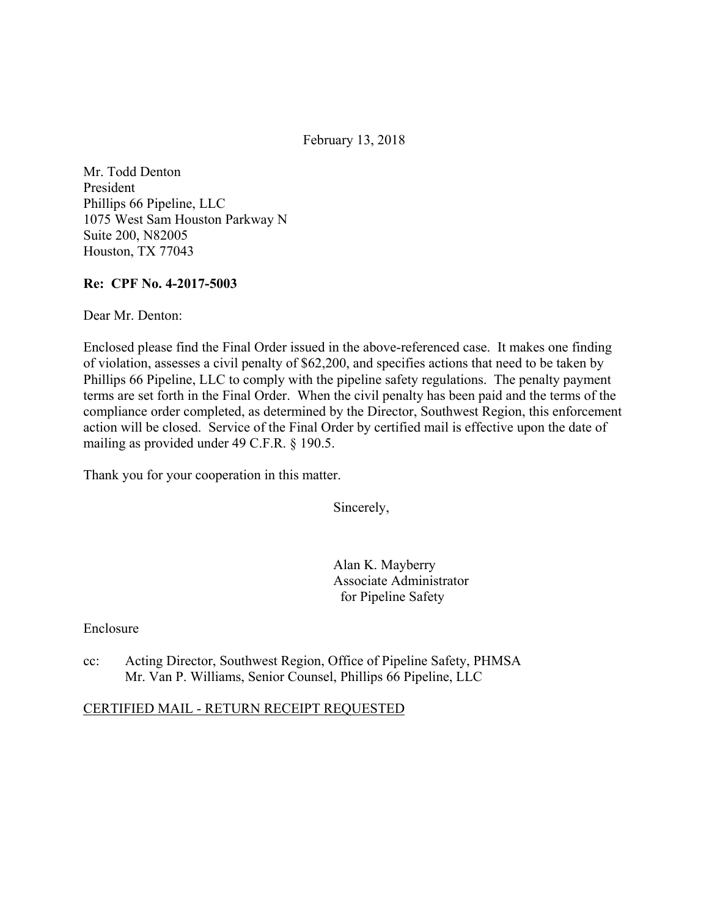February 13, 2018

Mr. Todd Denton President Phillips 66 Pipeline, LLC 1075 West Sam Houston Parkway N Suite 200, N82005 Houston, TX 77043

### **Re: CPF No. 4-2017-5003**

Dear Mr. Denton:

Enclosed please find the Final Order issued in the above-referenced case. It makes one finding of violation, assesses a civil penalty of \$62,200, and specifies actions that need to be taken by Phillips 66 Pipeline, LLC to comply with the pipeline safety regulations. The penalty payment terms are set forth in the Final Order. When the civil penalty has been paid and the terms of the compliance order completed, as determined by the Director, Southwest Region, this enforcement action will be closed. Service of the Final Order by certified mail is effective upon the date of mailing as provided under 49 C.F.R. § 190.5.

Thank you for your cooperation in this matter.

Sincerely,

Alan K. Mayberry Associate Administrator for Pipeline Safety

Enclosure

cc: Acting Director, Southwest Region, Office of Pipeline Safety, PHMSA Mr. Van P. Williams, Senior Counsel, Phillips 66 Pipeline, LLC

### CERTIFIED MAIL - RETURN RECEIPT REQUESTED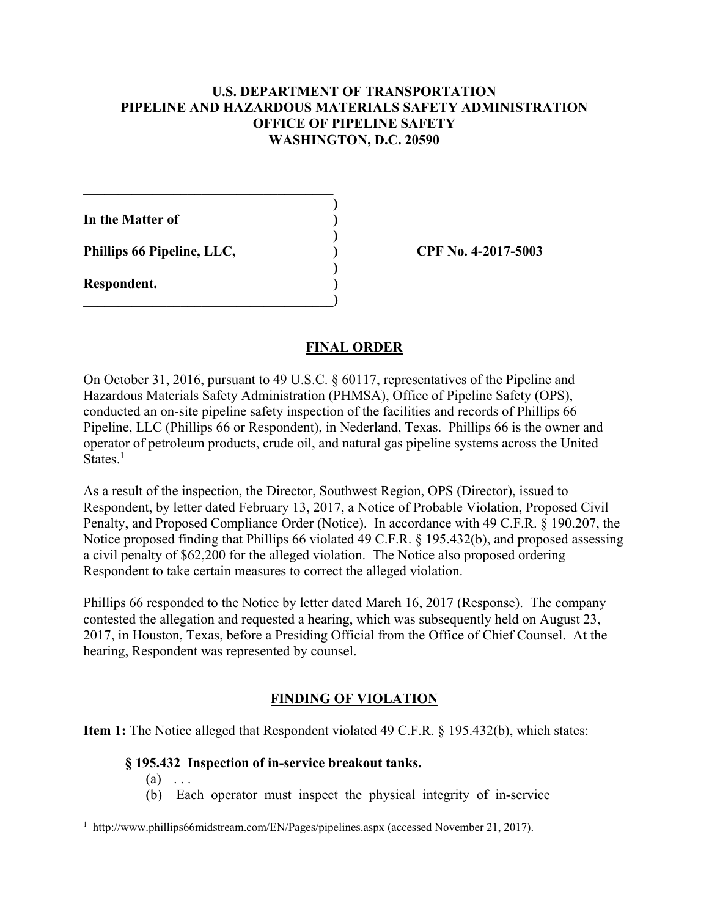### **U.S. DEPARTMENT OF TRANSPORTATION PIPELINE AND HAZARDOUS MATERIALS SAFETY ADMINISTRATION OFFICE OF PIPELINE SAFETY WASHINGTON, D.C. 20590**

**)**

 **)**

 **)**

**In the Matter of )**

**Phillips 66 Pipeline, LLC, ) CPF No. 4-2017-5003**

 $\mathcal{L}=\{1,2,3,4,5\}$ 

**\_\_\_\_\_\_\_\_\_\_\_\_\_\_\_\_\_\_\_\_\_\_\_\_\_\_\_\_\_\_\_\_\_\_\_\_)** 

**Respondent. )** 

## **FINAL ORDER**

On October 31, 2016, pursuant to 49 U.S.C. § 60117, representatives of the Pipeline and Hazardous Materials Safety Administration (PHMSA), Office of Pipeline Safety (OPS), conducted an on-site pipeline safety inspection of the facilities and records of Phillips 66 Pipeline, LLC (Phillips 66 or Respondent), in Nederland, Texas. Phillips 66 is the owner and operator of petroleum products, crude oil, and natural gas pipeline systems across the United States.<sup>1</sup>

As a result of the inspection, the Director, Southwest Region, OPS (Director), issued to Respondent, by letter dated February 13, 2017, a Notice of Probable Violation, Proposed Civil Penalty, and Proposed Compliance Order (Notice). In accordance with 49 C.F.R. § 190.207, the Notice proposed finding that Phillips 66 violated 49 C.F.R. § 195.432(b), and proposed assessing a civil penalty of \$62,200 for the alleged violation. The Notice also proposed ordering Respondent to take certain measures to correct the alleged violation.

Phillips 66 responded to the Notice by letter dated March 16, 2017 (Response). The company contested the allegation and requested a hearing, which was subsequently held on August 23, 2017, in Houston, Texas, before a Presiding Official from the Office of Chief Counsel. At the hearing, Respondent was represented by counsel.

# **FINDING OF VIOLATION**

**Item 1:** The Notice alleged that Respondent violated 49 C.F.R. § 195.432(b), which states:

### **§ 195.432 Inspection of in-service breakout tanks.**

 $(a) \ldots$ 

 $\overline{a}$ 

(b) Each operator must inspect the physical integrity of in-service

<sup>1</sup> http://www.phillips66midstream.com/EN/Pages/pipelines.aspx (accessed November 21, 2017).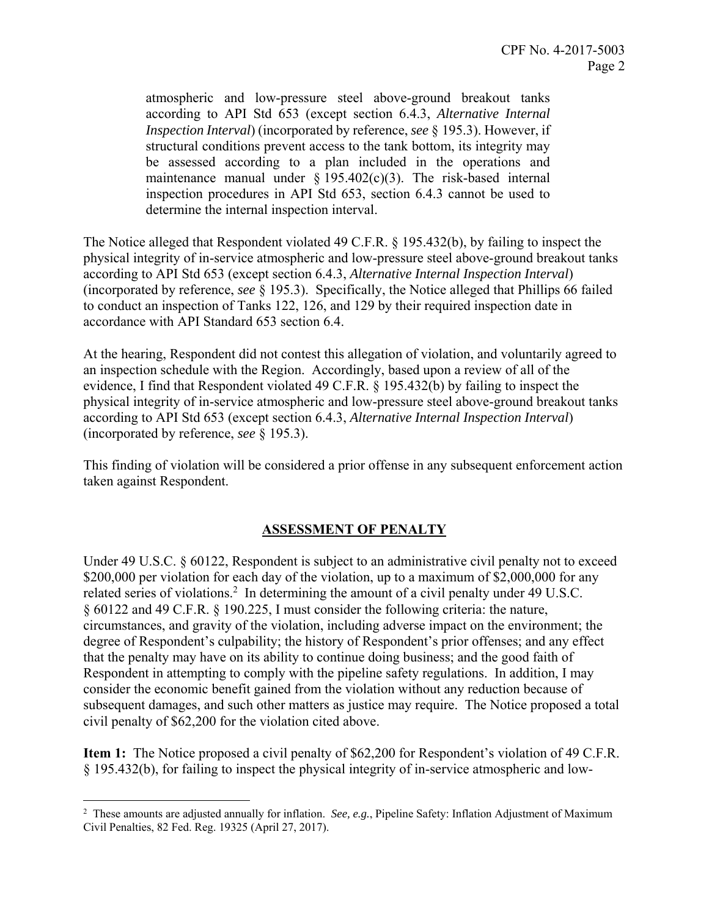be assessed according to a plan included in the operations and atmospheric and low-pressure steel above-ground breakout tanks according to API Std 653 (except section 6.4.3, *Alternative Internal Inspection Interval*) (incorporated by reference, *see* § 195.3). However, if structural conditions prevent access to the tank bottom, its integrity may maintenance manual under  $\S 195.402(c)(3)$ . The risk-based internal inspection procedures in API Std 653, section 6.4.3 cannot be used to determine the internal inspection interval.

The Notice alleged that Respondent violated 49 C.F.R. § 195.432(b), by failing to inspect the physical integrity of in-service atmospheric and low-pressure steel above-ground breakout tanks according to API Std 653 (except section 6.4.3, *Alternative Internal Inspection Interval*) (incorporated by reference, *see* § 195.3). Specifically, the Notice alleged that Phillips 66 failed to conduct an inspection of Tanks 122, 126, and 129 by their required inspection date in accordance with API Standard 653 section 6.4.

At the hearing, Respondent did not contest this allegation of violation, and voluntarily agreed to an inspection schedule with the Region. Accordingly, based upon a review of all of the evidence, I find that Respondent violated 49 C.F.R. § 195.432(b) by failing to inspect the physical integrity of in-service atmospheric and low-pressure steel above-ground breakout tanks according to API Std 653 (except section 6.4.3, *Alternative Internal Inspection Interval*) (incorporated by reference, *see* § 195.3).

This finding of violation will be considered a prior offense in any subsequent enforcement action taken against Respondent.

### **ASSESSMENT OF PENALTY**

Under 49 U.S.C. § 60122, Respondent is subject to an administrative civil penalty not to exceed \$200,000 per violation for each day of the violation, up to a maximum of \$2,000,000 for any related series of violations.<sup>2</sup> In determining the amount of a civil penalty under 49 U.S.C. § 60122 and 49 C.F.R. § 190.225, I must consider the following criteria: the nature, circumstances, and gravity of the violation, including adverse impact on the environment; the degree of Respondent's culpability; the history of Respondent's prior offenses; and any effect that the penalty may have on its ability to continue doing business; and the good faith of Respondent in attempting to comply with the pipeline safety regulations. In addition, I may consider the economic benefit gained from the violation without any reduction because of subsequent damages, and such other matters as justice may require. The Notice proposed a total civil penalty of \$62,200 for the violation cited above.

**Item 1:** The Notice proposed a civil penalty of \$62,200 for Respondent's violation of 49 C.F.R. § 195.432(b), for failing to inspect the physical integrity of in-service atmospheric and low-

 $\overline{a}$ 

<sup>2</sup> These amounts are adjusted annually for inflation. *See, e.g.*, Pipeline Safety: Inflation Adjustment of Maximum Civil Penalties, 82 Fed. Reg. 19325 (April 27, 2017).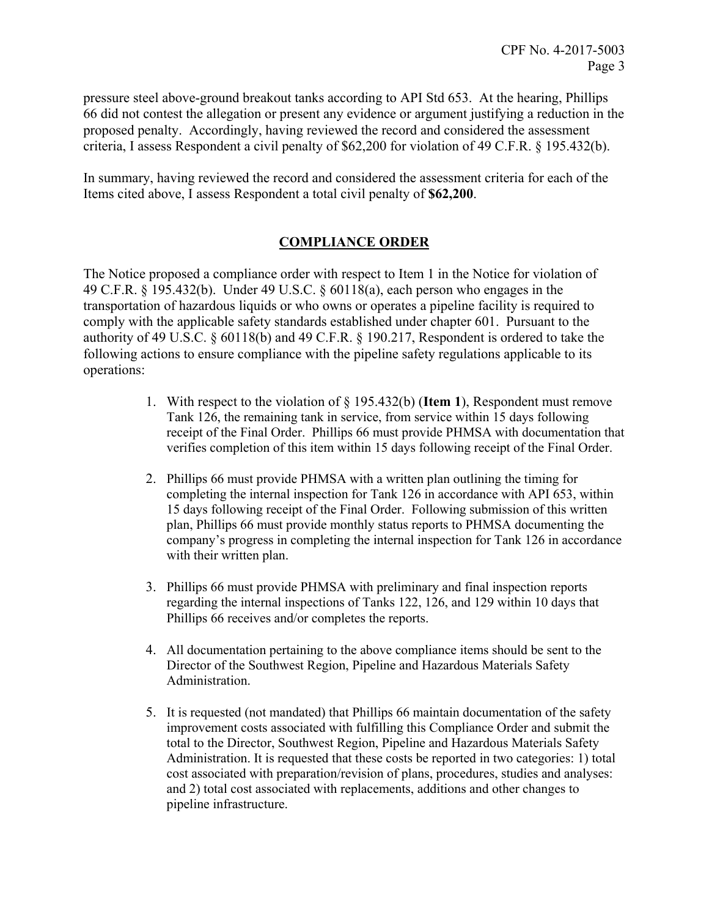pressure steel above-ground breakout tanks according to API Std 653. At the hearing, Phillips 66 did not contest the allegation or present any evidence or argument justifying a reduction in the proposed penalty. Accordingly, having reviewed the record and considered the assessment criteria, I assess Respondent a civil penalty of \$62,200 for violation of 49 C.F.R. § 195.432(b).

In summary, having reviewed the record and considered the assessment criteria for each of the Items cited above, I assess Respondent a total civil penalty of **\$62,200**.

## **COMPLIANCE ORDER**

The Notice proposed a compliance order with respect to Item 1 in the Notice for violation of 49 C.F.R. § 195.432(b). Under 49 U.S.C. § 60118(a), each person who engages in the transportation of hazardous liquids or who owns or operates a pipeline facility is required to comply with the applicable safety standards established under chapter 601. Pursuant to the authority of 49 U.S.C. § 60118(b) and 49 C.F.R. § 190.217, Respondent is ordered to take the following actions to ensure compliance with the pipeline safety regulations applicable to its operations:

- 1. With respect to the violation of § 195.432(b) (**Item 1**), Respondent must remove Tank 126, the remaining tank in service, from service within 15 days following receipt of the Final Order. Phillips 66 must provide PHMSA with documentation that verifies completion of this item within 15 days following receipt of the Final Order.
- 2. Phillips 66 must provide PHMSA with a written plan outlining the timing for completing the internal inspection for Tank 126 in accordance with API 653, within 15 days following receipt of the Final Order. Following submission of this written plan, Phillips 66 must provide monthly status reports to PHMSA documenting the company's progress in completing the internal inspection for Tank 126 in accordance with their written plan.
- 3. Phillips 66 must provide PHMSA with preliminary and final inspection reports regarding the internal inspections of Tanks 122, 126, and 129 within 10 days that Phillips 66 receives and/or completes the reports.
- 4. All documentation pertaining to the above compliance items should be sent to the Director of the Southwest Region, Pipeline and Hazardous Materials Safety Administration.
- 5. It is requested (not mandated) that Phillips 66 maintain documentation of the safety improvement costs associated with fulfilling this Compliance Order and submit the total to the Director, Southwest Region, Pipeline and Hazardous Materials Safety Administration. It is requested that these costs be reported in two categories: 1) total cost associated with preparation/revision of plans, procedures, studies and analyses: and 2) total cost associated with replacements, additions and other changes to pipeline infrastructure.